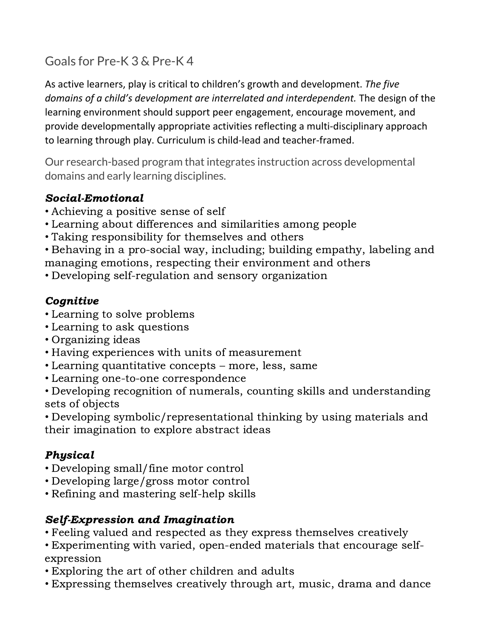# Goals for Pre-K 3 & Pre-K 4

As active learners, play is critical to children's growth and development. *The five domains of a child's development are interrelated and interdependent.* The design of the learning environment should support peer engagement, encourage movement, and provide developmentally appropriate activities reflecting a multi-disciplinary approach to learning through play. Curriculum is child-lead and teacher-framed.

Our research-based program that integrates instruction across developmental domains and early learning disciplines.

## Social-Emotional

- Achieving a positive sense of self
- Learning about differences and similarities among people
- Taking responsibility for themselves and others
- Behaving in a pro-social way, including; building empathy, labeling and managing emotions, respecting their environment and others
- Developing self-regulation and sensory organization

## Cognitive

- Learning to solve problems
- Learning to ask questions
- Organizing ideas
- Having experiences with units of measurement
- Learning quantitative concepts more, less, same
- Learning one-to-one correspondence

• Developing recognition of numerals, counting skills and understanding sets of objects

• Developing symbolic/representational thinking by using materials and their imagination to explore abstract ideas

## Physical

- Developing small/fine motor control
- Developing large/gross motor control
- Refining and mastering self-help skills

## Self-Expression and Imagination

• Feeling valued and respected as they express themselves creatively

• Experimenting with varied, open-ended materials that encourage selfexpression

- Exploring the art of other children and adults
- Expressing themselves creatively through art, music, drama and dance